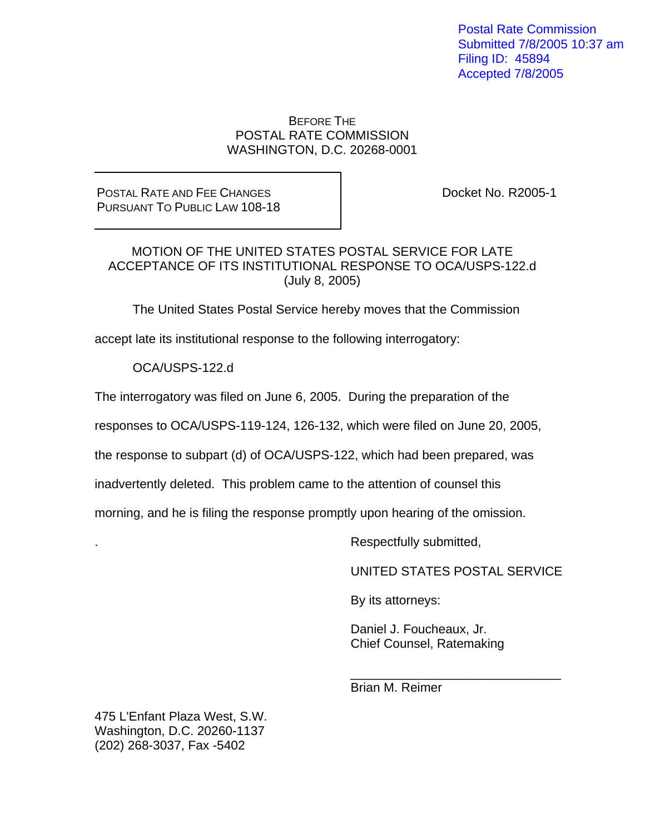Postal Rate Commission Submitted 7/8/2005 10:37 am Filing ID: 45894 Accepted 7/8/2005

## BEFORE THE POSTAL RATE COMMISSION WASHINGTON, D.C. 20268-0001

POSTAL RATE AND FEE CHANGES PURSUANT TO PUBLIC LAW 108-18 Docket No. R2005-1

## MOTION OF THE UNITED STATES POSTAL SERVICE FOR LATE ACCEPTANCE OF ITS INSTITUTIONAL RESPONSE TO OCA/USPS-122.d (July 8, 2005)

The United States Postal Service hereby moves that the Commission

accept late its institutional response to the following interrogatory:

OCA/USPS-122.d

The interrogatory was filed on June 6, 2005. During the preparation of the

responses to OCA/USPS-119-124, 126-132, which were filed on June 20, 2005,

the response to subpart (d) of OCA/USPS-122, which had been prepared, was

inadvertently deleted. This problem came to the attention of counsel this

morning, and he is filing the response promptly upon hearing of the omission.

 $\frac{1}{\sqrt{2\pi}}$  ,  $\frac{1}{\sqrt{2\pi}}$  ,  $\frac{1}{\sqrt{2\pi}}$  ,  $\frac{1}{\sqrt{2\pi}}$  ,  $\frac{1}{\sqrt{2\pi}}$  ,  $\frac{1}{\sqrt{2\pi}}$  ,  $\frac{1}{\sqrt{2\pi}}$  ,  $\frac{1}{\sqrt{2\pi}}$  ,  $\frac{1}{\sqrt{2\pi}}$  ,  $\frac{1}{\sqrt{2\pi}}$  ,  $\frac{1}{\sqrt{2\pi}}$  ,  $\frac{1}{\sqrt{2\pi}}$  ,  $\frac{1}{\sqrt{2\pi}}$  ,

. Respectfully submitted,

UNITED STATES POSTAL SERVICE

By its attorneys:

 Daniel J. Foucheaux, Jr. Chief Counsel, Ratemaking

Brian M. Reimer

475 L'Enfant Plaza West, S.W. Washington, D.C. 20260-1137 (202) 268-3037, Fax -5402